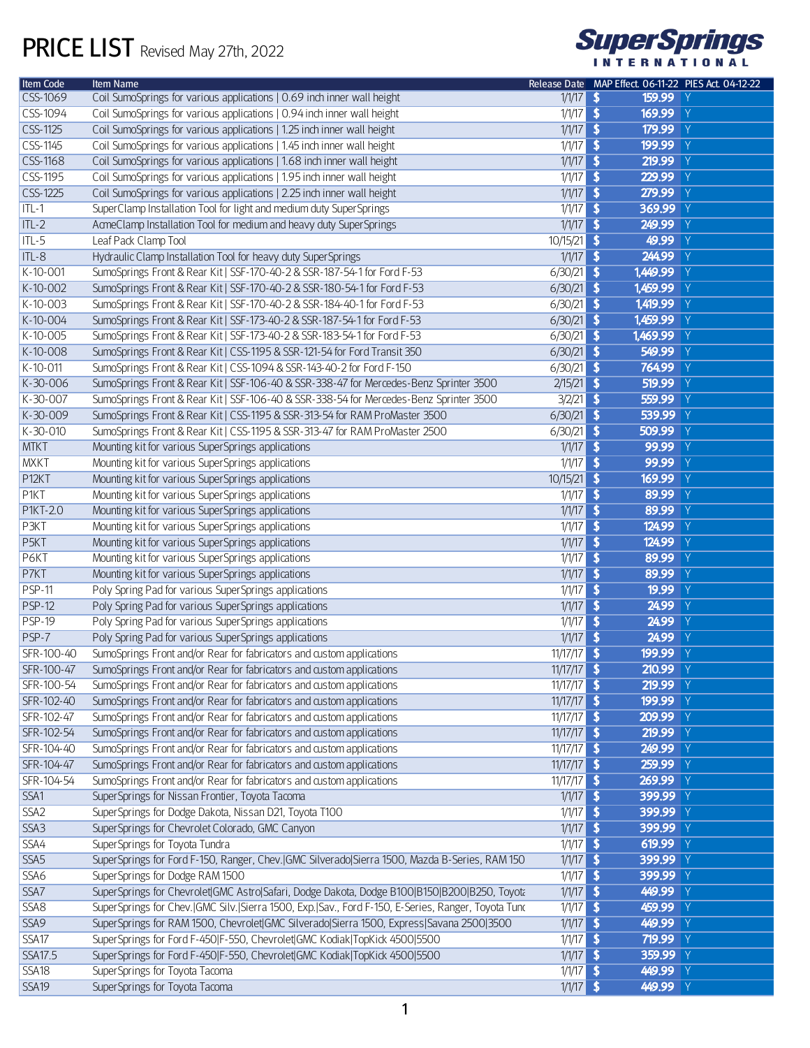## PRICE LIST Revised May 27th, 2022



| <b>Item Code</b>  | <b>Item Name</b>                                                                                   |               | Release Date MAP Effect. 06-11-22 PIES Act. 04-12-22 |
|-------------------|----------------------------------------------------------------------------------------------------|---------------|------------------------------------------------------|
| CSS-1069          | Coil SumoSprings for various applications   0.69 inch inner wall height                            | $1/1/17$ \$   | 159.99 Y                                             |
| CSS-1094          | Coil SumoSprings for various applications   0.94 inch inner wall height                            | $1/1/17$ \$   | 169.99 Y                                             |
| CSS-1125          | Coil SumoSprings for various applications   1.25 inch inner wall height                            | $1/1/17$ \$   | 179.99 Y                                             |
| CSS-1145          | Coil SumoSprings for various applications   1.45 inch inner wall height                            | $1/1/17$ \$   | 199.99 Y                                             |
| CSS-1168          | Coil SumoSprings for various applications   1.68 inch inner wall height                            | $1/1/17$ \$   | $219.99$ Y                                           |
| CSS-1195          | Coil SumoSprings for various applications   1.95 inch inner wall height                            | $1/1/17$ \$   | 229.99 Y                                             |
| CSS-1225          | Coil SumoSprings for various applications   2.25 inch inner wall height                            | $1/1/17$ \$   | 279.99 Y                                             |
| $ITL-1$           | SuperClamp Installation Tool for light and medium duty SuperSprings                                | $1/1/17$ \$   | 369.99 Y                                             |
| $ITL-2$           | AcmeClamp Installation Tool for medium and heavy duty SuperSprings                                 | $1/1/17$ \$   | 249.99 Y                                             |
| ITL-5             | Leaf Pack Clamp Tool                                                                               | $10/15/21$ \$ | 49.99 Y                                              |
| $\P$ ITL-8        | Hydraulic Clamp Installation Tool for heavy duty SuperSprings                                      | $1/1/17$ \$   | 244.99 Y                                             |
| K-10-001          | SumoSprings Front & Rear Kit   SSF-170-40-2 & SSR-187-54-1 for Ford F-53                           | $6/30/21$ \$  | 1,449.99 Y                                           |
| K-10-002          | SumoSprings Front & Rear Kit   SSF-170-40-2 & SSR-180-54-1 for Ford F-53                           | $6/30/21$ \$  | 1,459.99 Y                                           |
| $K-10-003$        | SumoSprings Front & Rear Kit   SSF-170-40-2 & SSR-184-40-1 for Ford F-53                           | $6/30/21$ \$  | 1,419.99 Y                                           |
| $K-10-004$        | SumoSprings Front & Rear Kit   SSF-173-40-2 & SSR-187-54-1 for Ford F-53                           | $6/30/21$ \$  | 1,459.99 Y                                           |
| $K-10-005$        | SumoSprings Front & Rear Kit   SSF-173-40-2 & SSR-183-54-1 for Ford F-53                           | $6/30/21$ \$  | 1,469.99 Y                                           |
| K-10-008          | SumoSprings Front & Rear Kit   CSS-1195 & SSR-121-54 for Ford Transit 350                          | $6/30/21$ \$  | 549.99 Y                                             |
| $K-10-011$        | SumoSprings Front & Rear Kit   CSS-1094 & SSR-143-40-2 for Ford F-150                              | $6/30/21$ \$  | 764.99 Y                                             |
| $K-30-006$        | SumoSprings Front & Rear Kit   SSF-106-40 & SSR-338-47 for Mercedes-Benz Sprinter 3500             | $2/15/21$ \$  | 519.99 Y                                             |
| K-30-007          | SumoSprings Front & Rear Kit   SSF-106-40 & SSR-338-54 for Mercedes-Benz Sprinter 3500             | $3/2/21$ \$   | 559.99 Y                                             |
| $K-30-009$        | SumoSprings Front & Rear Kit   CSS-1195 & SSR-313-54 for RAM ProMaster 3500                        | $6/30/21$ \$  | 539.99 Y                                             |
| $K - 30 - 010$    | SumoSprings Front & Rear Kit   CSS-1195 & SSR-313-47 for RAM ProMaster 2500                        | $6/30/21$ \$  | 509.99 Y                                             |
| <b>MTKT</b>       | Mounting kit for various SuperSprings applications                                                 | $1/1/17$ \$   | 99.99 Y                                              |
| MXKT              | Mounting kit for various SuperSprings applications                                                 | $1/1/17$ \$   | 99.99 Y                                              |
| P <sub>12KT</sub> | Mounting kit for various SuperSprings applications                                                 | $10/15/21$ \$ | 169.99 Y                                             |
| <b>P1KT</b>       | Mounting kit for various SuperSprings applications                                                 | $1/1/17$ \$   | 89.99 Y                                              |
| <b>P1KT-2.0</b>   | Mounting kit for various SuperSprings applications                                                 | $1/1/17$ \$   | 89.99 Y                                              |
| P3KT              | Mounting kit for various SuperSprings applications                                                 | $1/1/17$ \$   | 124.99 Y                                             |
| P5KT              | Mounting kit for various SuperSprings applications                                                 | $1/1/17$ \$   | 124.99 Y                                             |
| P6KT              | Mounting kit for various SuperSprings applications                                                 | $1/1/17$ \$   | 89.99 Y                                              |
| P7KT              | Mounting kit for various SuperSprings applications                                                 | $1/1/17$ \$   | 89.99 Y                                              |
| <b>PSP-11</b>     | Poly Spring Pad for various SuperSprings applications                                              | $1/1/17$ \$   | 19.99 Y                                              |
| <b>PSP-12</b>     | Poly Spring Pad for various SuperSprings applications                                              | $1/1/17$ \$   | 24.99 Y                                              |
| <b>PSP-19</b>     | Poly Spring Pad for various SuperSprings applications                                              | $1/1/17$ \$   | 24.99 Y                                              |
| PSP-7             | Poly Spring Pad for various SuperSprings applications                                              | $1/1/17$ \$   | 24.99 Y                                              |
| SFR-100-40        | SumoSprings Front and/or Rear for fabricators and custom applications                              | $11/17/17$ \$ | 199.99 Y                                             |
| SFR-100-47        | SumoSprings Front and/or Rear for fabricators and custom applications                              | $11/17/17$ \$ | 210.99 Y                                             |
| SFR-100-54        | SumoSprings Front and/or Rear for fabricators and custom applications                              | $11/17/17$ \$ | 219.99 Y                                             |
| SFR-102-40        | SumoSprings Front and/or Rear for fabricators and custom applications                              | $11/17/17$ \$ | 199.99 Y                                             |
| SFR-102-47        | SumoSprings Front and/or Rear for fabricators and custom applications                              | $11/17/17$ \$ | 209.99 Y                                             |
| SFR-102-54        | SumoSprings Front and/or Rear for fabricators and custom applications                              | $11/17/17$ \$ | 219.99 Y                                             |
| SFR-104-40        | SumoSprings Front and/or Rear for fabricators and custom applications                              | $11/17/17$ \$ | 249.99 Y                                             |
| SFR-104-47        | SumoSprings Front and/or Rear for fabricators and custom applications                              | $11/17/17$ \$ | 259.99 Y                                             |
| SFR-104-54        | SumoSprings Front and/or Rear for fabricators and custom applications                              | $11/17/17$ \$ | 269.99 Y                                             |
| SSA1              | SuperSprings for Nissan Frontier, Toyota Tacoma                                                    | $1/1/17$ \$   | 399.99 Y                                             |
| SSA <sub>2</sub>  | SuperSprings for Dodge Dakota, Nissan D21, Toyota T100                                             | $1/1/17$ \$   | 399.99 Y                                             |
| SSA3              | SuperSprings for Chevrolet Colorado, GMC Canyon                                                    | $1/1/17$ \$   | 399.99 Y                                             |
| SSA4              | SuperSprings for Toyota Tundra                                                                     | $1/1/17$ \$   | 619.99 $Y$                                           |
| SSA5              | SuperSprings for Ford F-150, Ranger, Chev. GMC Silverado Sierra 1500, Mazda B-Series, RAM 150      | $1/1/17$ \$   | 399.99 Y                                             |
| SSA6              | SuperSprings for Dodge RAM 1500                                                                    | $1/1/17$ \$   | 399.99 Y                                             |
| SSA7              | SuperSprings for Chevrolet GMC Astro Safari, Dodge Dakota, Dodge B100 B150 B200 B250, Toyota       | $1/1/17$ \$   | 449.99 Y                                             |
| SSA8              | SuperSprings for Chev. GMC Silv. Sierra 1500, Exp. Sav., Ford F-150, E-Series, Ranger, Toyota Tunc | $1/1/17$ \$   | 459.99 Y                                             |
| SSA <sub>9</sub>  | SuperSprings for RAM 1500, Chevrolet GMC Silverado Sierra 1500, Express Savana 2500 3500           | $1/1/17$ \$   | 449.99 Y                                             |
| SSA17             | SuperSprings for Ford F-450 F-550, Chevrolet GMC Kodiak TopKick 4500 5500                          | $1/1/17$ \$   | 719.99 Y                                             |
| SSA17.5           | SuperSprings for Ford F-450 F-550, Chevrolet GMC Kodiak TopKick 4500 5500                          | $1/1/17$ \$   | 359.99 Y                                             |
| SSA18             | SuperSprings for Toyota Tacoma                                                                     | $1/1/17$ \$   | 449.99 Y                                             |
| SSA <sub>19</sub> | SuperSprings for Toyota Tacoma                                                                     | $1/1/17$ \$   | 449.99 Y                                             |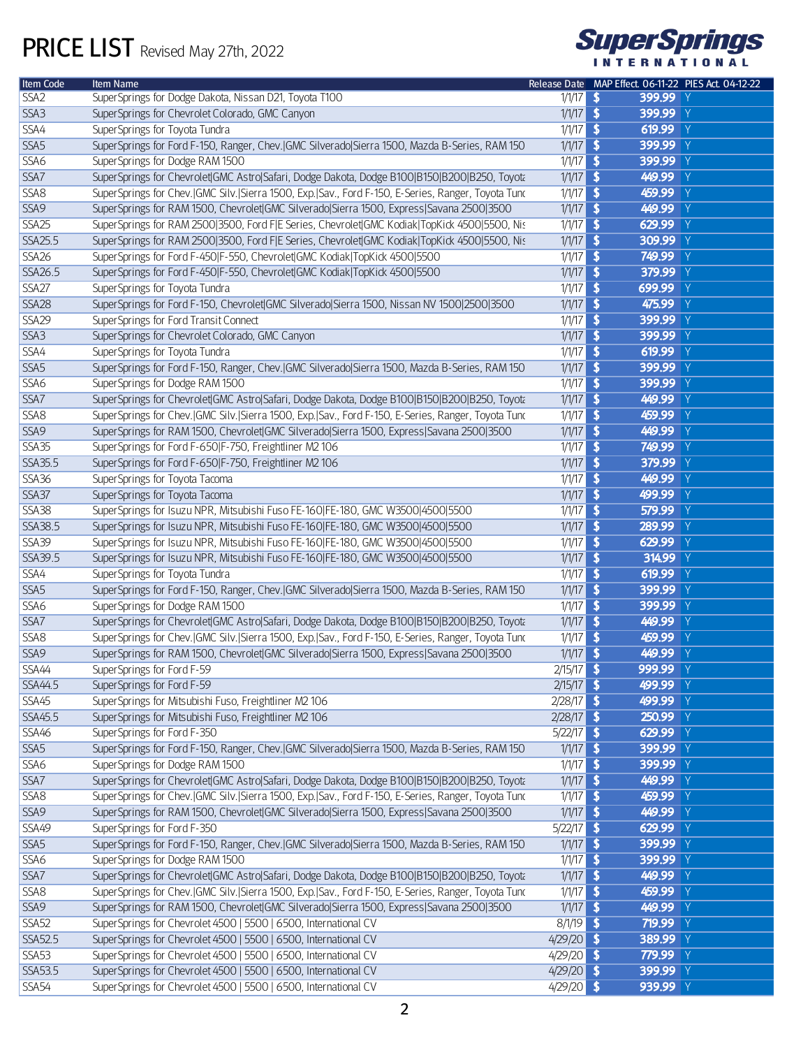

| Item Code        | <b>Item Name</b>                                                                                   |              | Release Date MAP Effect. 06-11-22 PIES Act. 04-12-22 |
|------------------|----------------------------------------------------------------------------------------------------|--------------|------------------------------------------------------|
| SSA <sub>2</sub> | SuperSprings for Dodge Dakota, Nissan D21, Toyota T100                                             | $1/1/17$ \$  | 399.99 Y                                             |
| SSA3             | SuperSprings for Chevrolet Colorado, GMC Canyon                                                    | $1/1/17$ \$  | 399.99 Y                                             |
| SSA4             | SuperSprings for Toyota Tundra                                                                     | $1/1/17$ \$  | 619.99 $Y$                                           |
| SSA <sub>5</sub> | SuperSprings for Ford F-150, Ranger, Chev.   GMC Silverado  Sierra 1500, Mazda B-Series, RAM 150   | $1/1/17$ \$  | 399.99 Y                                             |
| SSA6             | SuperSprings for Dodge RAM 1500                                                                    | $1/1/17$ \$  | 399.99 Y                                             |
| SSA7             | SuperSprings for Chevrolet GMC Astro Safari, Dodge Dakota, Dodge B100 B150 B200 B250, Toyota       | $1/1/17$ \$  | 449.99 Y                                             |
| SSA8             | SuperSprings for Chev. GMC Silv. Sierra 1500, Exp. Sav., Ford F-150, E-Series, Ranger, Toyota Tunc | $1/1/17$ \$  | 459.99 Y                                             |
| SSA9             | SuperSprings for RAM 1500, Chevrolet GMC Silverado Sierra 1500, Express Savana 2500 3500           | $1/1/17$ \$  | 449.99 Y                                             |
| <b>SSA25</b>     | SuperSprings for RAM 2500 3500, Ford F E Series, Chevrolet GMC Kodiak TopKick 4500 5500, Nis       | $1/1/17$ \$  | 629.99 Y                                             |
| SSA25.5          | SuperSprings for RAM 2500 3500, Ford F E Series, Chevrolet GMC Kodiak TopKidk 4500 5500, Nis       | $1/1/17$ \$  | 309.99 Y                                             |
| <b>SSA26</b>     | SuperSprings for Ford F-450 F-550, Chevrolet GMC Kodiak TopKick 4500 5500                          | $1/1/17$ \$  | 749.99 Y                                             |
| SSA26.5          | SuperSprings for Ford F-450 F-550, Chevrolet GMC Kodiak TopKick 4500 5500                          | $1/1/17$ \$  | 379.99 Y                                             |
| <b>SSA27</b>     | SuperSprings for Toyota Tundra                                                                     | $1/1/17$ \$  | 699.99 Y                                             |
| <b>SSA28</b>     | SuperSprings for Ford F-150, Chevrolet GMC Silverado Sierra 1500, Nissan NV 1500 2500 3500         | $1/1/17$ \$  | 475.99 Y                                             |
| <b>SSA29</b>     | SuperSprings for Ford Transit Connect                                                              | $1/1/17$ \$  | 399.99 Y                                             |
| SSA3             | SuperSprings for Chevrolet Colorado, GMC Canyon                                                    | $1/1/17$ \$  | 399.99 Y                                             |
| SSA4             | SuperSprings for Toyota Tundra                                                                     | $1/1/17$ \$  | 619.99 $Y$                                           |
| SSA <sub>5</sub> | SuperSprings for Ford F-150, Ranger, Chev.   GMC Silverado  Sierra 1500, Mazda B-Series, RAM 150   | $1/1/17$ \$  | 399.99 Y                                             |
| SSA6             | SuperSprings for Dodge RAM 1500                                                                    | $1/1/17$ \$  | 399.99 Y                                             |
| SSA7             | SuperSprings for Chevrolet GMC Astro Safari, Dodge Dakota, Dodge B100 B150 B200 B250, Toyota       | $1/1/17$ \$  | 449.99 Y                                             |
| SSA8             | SuperSprings for Chev. GMC Silv. Sierra 1500, Exp. Sav., Ford F-150, E-Series, Ranger, Toyota Tunc | $1/1/17$ \$  | 459.99 Y                                             |
| SSA9             | SuperSprings for RAM 1500, Chevrolet GMC Silverado Sierra 1500, Express Savana 2500 3500           | $1/1/17$ \$  | 449.99 Y                                             |
| SSA35            | SuperSprings for Ford F-650 F-750, Freightliner M2 106                                             | $1/1/17$ \$  | 749.99 Y                                             |
| SSA35.5          | SuperSprings for Ford F-650 F-750, Freightliner M2 106                                             | $1/1/17$ \$  | 379.99 Y                                             |
| <b>SSA36</b>     | SuperSprings for Toyota Tacoma                                                                     | $1/1/17$ \$  | 449.99 Y                                             |
| <b>SSA37</b>     | SuperSprings for Toyota Tacoma                                                                     | $1/1/17$ \$  | 499.99 Y                                             |
| <b>SSA38</b>     | SuperSprings for Isuzu NPR, Mitsubishi Fuso FE-160 FE-180, GMC W3500 4500 5500                     | $1/1/17$ \$  | 579.99 Y                                             |
| SSA38.5          | SuperSprings for Isuzu NPR, Mitsubishi Fuso FE-160 FE-180, GMC W3500 4500 5500                     | $1/1/17$ \$  | 289.99 Y                                             |
| <b>SSA39</b>     | SuperSprings for Isuzu NPR, Mitsubishi Fuso FE-160 FE-180, GMC W3500 4500 5500                     | $1/1/17$ \$  | 629.99 Y                                             |
| SSA39.5          | SuperSprings for Isuzu NPR, Mitsubishi Fuso FE-160 FE-180, GMC W3500 4500 5500                     | $1/1/17$ \$  | 314.99 Y                                             |
| SSA4             | SuperSprings for Toyota Tundra                                                                     | $1/1/17$ \$  | 619.99 $Y$                                           |
| SSA <sub>5</sub> | SuperSprings for Ford F-150, Ranger, Chev. GMC Silverado Sierra 1500, Mazda B-Series, RAM 150      | $1/1/17$ \$  | 399.99 Y                                             |
| SSA6             | SuperSprings for Dodge RAM 1500                                                                    | $1/1/17$ \$  | 399.99 Y                                             |
| SSA7             | SuperSprings for Chevrolet GMC Astro Safari, Dodge Dakota, Dodge B100 B150 B200 B250, Toyota       | $1/1/17$ \$  | 449.99 Y                                             |
| SSA8             | SuperSprings for Chev. GMC Silv. Sierra 1500, Exp. Sav., Ford F-150, E-Series, Ranger, Toyota Tunc | $1/1/17$ \$  | 459.99 Y                                             |
| SSA9             | SuperSprings for RAM 1500, Chevrolet GMC Silverado Sierra 1500, Express Savana 2500 3500           | $1/1/17$ \$  | 449.99 Y                                             |
| SSA44            | SuperSprings for Ford F-59                                                                         | $2/15/17$ \$ | 999.99 Y                                             |
| SSA44.5          | SuperSprings for Ford F-59                                                                         | $2/15/17$ \$ | 499.99 Y                                             |
| SSA45            | SuperSprings for Mitsubishi Fuso, Freightliner M2 106                                              | $2/28/17$ \$ | 499.99 Y                                             |
| SSA45.5          | SuperSprings for Mitsubishi Fuso, Freightliner M2 106                                              | $2/28/17$ \$ | 250.99 Y                                             |
| <b>SSA46</b>     | SuperSprings for Ford F-350                                                                        | $5/22/17$ \$ | 629.99 Y                                             |
| SSA <sub>5</sub> | SuperSprings for Ford F-150, Ranger, Chev.   GMC Silverado  Sierra 1500, Mazda B-Series, RAM 150   | $1/1/17$ \$  | 399.99 Y                                             |
| SSA6             | SuperSprings for Dodge RAM 1500                                                                    | $1/1/17$ \$  | 399.99 Y                                             |
| SSA7             | SuperSprings for Chevrolet GMC Astro Safari, Dodge Dakota, Dodge B100 B150 B200 B250, Toyota       | $1/1/17$ \$  | 449.99 Y                                             |
| SSA8             | SuperSprings for Chev. GMC Silv. Sierra 1500, Exp. Sav., Ford F-150, E-Series, Ranger, Toyota Tunc | $1/1/17$ \$  | 459.99 Y                                             |
| SSA9             | SuperSprings for RAM 1500, Chevrolet GMC Silverado Sierra 1500, Express Savana 2500 3500           | $1/1/17$ \$  | 449.99 Y                                             |
| <b>SSA49</b>     | SuperSprings for Ford F-350                                                                        | $5/22/17$ \$ | 629.99 Y                                             |
| SSA5             | SuperSprings for Ford F-150, Ranger, Chev.   GMC Silverado  Sierra 1500, Mazda B-Series, RAM 150   | $1/1/17$ \$  | 399.99 Y                                             |
| SSA6             | SuperSprings for Dodge RAM 1500                                                                    | $1/1/17$ \$  | 399.99 Y                                             |
| SSA7             | SuperSprings for Chevrolet GMC Astro Safari, Dodge Dakota, Dodge B100 B150 B200 B250, Toyota       | $1/1/17$ \$  | 449.99 Y                                             |
| SSA8             | SuperSprings for Chev. GMC Silv. Sierra 1500, Exp. Sav., Ford F-150, E-Series, Ranger, Toyota Tunc | $1/1/17$ \$  | 459.99 Y                                             |
| SSA9             | SuperSprings for RAM 1500, Chevrolet GMC Silverado Sierra 1500, Express Savana 2500 3500           | $1/1/17$ \$  | 449.99 Y                                             |
| <b>SSA52</b>     | SuperSprings for Chevrolet 4500   5500   6500, International CV                                    | $8/1/19$ \$  | 719.99 Y                                             |
| SSA52.5          | SuperSprings for Chevrolet 4500   5500   6500, International CV                                    | $4/29/20$ \$ | 389.99 Y                                             |
| <b>SSA53</b>     | SuperSprings for Chevrolet 4500   5500   6500, International CV                                    | $4/29/20$ \$ | 779.99 Y                                             |
| SSA53.5          | SuperSprings for Chevrolet 4500   5500   6500, International CV                                    | $4/29/20$ \$ | 399.99 Y                                             |
| <b>SSA54</b>     | SuperSprings for Chevrolet 4500   5500   6500, International CV                                    | $4/29/20$ \$ | 939.99 Y                                             |
|                  |                                                                                                    |              |                                                      |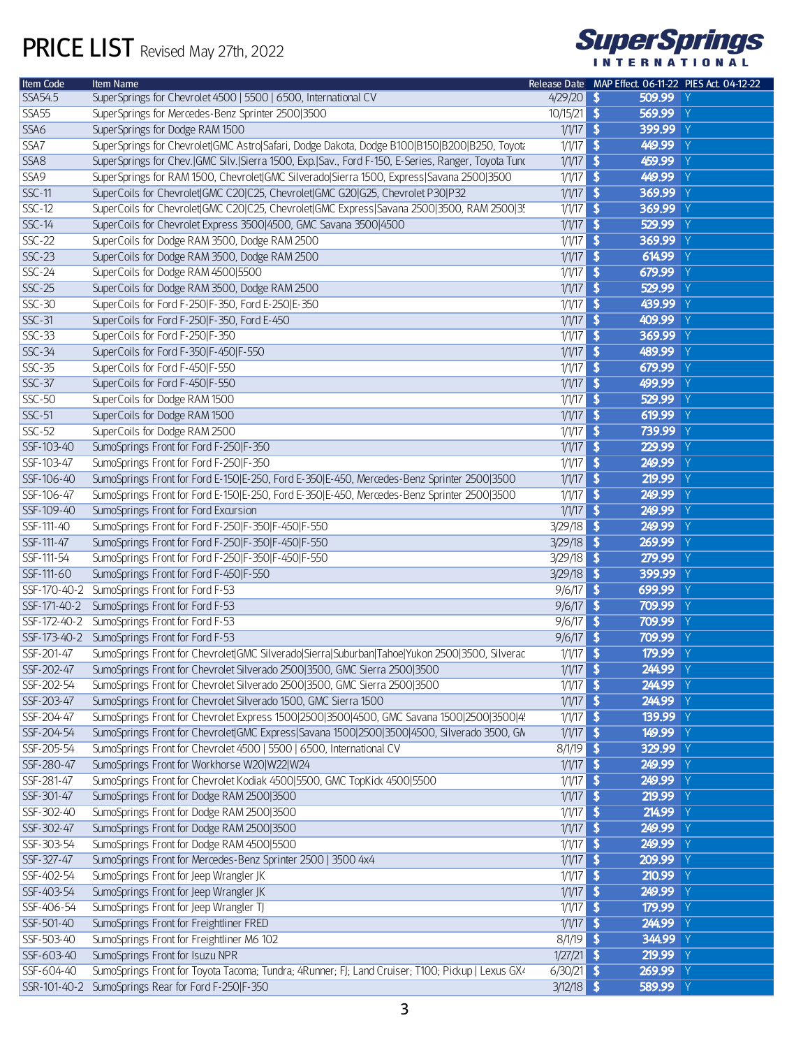

| Item Code      | Item Name                                                                                                    |              | Release Date MAP Effect. 06-11-22 PIES Act. 04-12-22 |
|----------------|--------------------------------------------------------------------------------------------------------------|--------------|------------------------------------------------------|
| <b>SSA54.5</b> | SuperSprings for Chevrolet 4500   5500   6500, International CV                                              | 4/29/20      | $\sqrt{2}$<br>509.99 Y                               |
| SSA55          | SuperSprings for Mercedes-Benz Sprinter 2500 3500                                                            | 10/15/21     | $\overline{\bullet}$<br>569.99 Y                     |
| SSA6           | SuperSprings for Dodge RAM 1500                                                                              | 1/1/17       | $\overline{\bullet}$<br>399.99 Y                     |
| SSA7           | SuperSprings for Chevrolet GMC Astro Safari, Dodge Dakota, Dodge B100 B150 B200 B250, Toyota                 | 1/1/17       | $\overline{\bullet}$<br>449.99 Y                     |
| SSA8           | SuperSprings for Chev. GMC Silv. Sierra 1500, Exp. Sav., Ford F-150, E-Series, Ranger, Toyota Tunc           | 1/1/17       | $\overline{\bullet}$<br>459.99 Y                     |
| SSA9           | SuperSprings for RAM 1500, Chevrolet GMC Silverado Sierra 1500, Express Savana 2500 3500                     | 1/1/17       | $\overline{\bullet}$<br>449.99 Y                     |
| <b>SSC-11</b>  | SuperCoils for Chevrolet GMC C20 C25, Chevrolet GMC G20 G25, Chevrolet P30 P32                               | 1/1/17       | $\overline{\bullet}$<br>369.99 Y                     |
| $SSC-12$       | SuperCoils for Chevrolet GMC C20 C25, Chevrolet GMC Express Savana 2500 3500, RAM 2500 35                    | 1/1/17       | $\overline{\mathbf{S}}$<br>369.99 Y                  |
| $SSC-14$       | SuperCoils for Chevrolet Express 3500 4500, GMC Savana 3500 4500                                             | 1/1/17       | $\overline{\bullet}$<br>529.99 Y                     |
| $SSC-22$       | SuperCoils for Dodge RAM 3500, Dodge RAM 2500                                                                | 1/1/17       | $\overline{\bullet}$<br>369.99 Y                     |
| $SSC-23$       | SuperCoils for Dodge RAM 3500, Dodge RAM 2500                                                                | 1/1/17       | $\overline{\bullet}$<br>614.99 Y                     |
| $SSC-24$       | SuperCoils for Dodge RAM 4500 5500                                                                           | 1/1/17       | $\overline{\bullet}$<br>679.99 Y                     |
| $SSC-25$       | SuperCoils for Dodge RAM 3500, Dodge RAM 2500                                                                | 1/1/17       | $\overline{\bullet}$<br>529.99 Y                     |
| $SSC-30$       | SuperCoils for Ford F-250 F-350, Ford E-250 E-350                                                            | 1/1/17       | $\overline{\bullet}$<br>439.99 Y                     |
| $SSC-31$       | SuperCoils for Ford F-250 F-350, Ford E-450                                                                  | 1/1/17       | $\overline{\bullet}$<br>409.99 Y                     |
| $SSC-33$       | SuperCoils for Ford F-250 F-350                                                                              | 1/1/17       | $\overline{\mathbf{S}}$<br>369.99 Y                  |
| $SSC-34$       | SuperCoils for Ford F-350 F-450 F-550                                                                        | 1/1/17       | $\overline{\bullet}$<br>489.99 Y                     |
| $SSC-35$       | SuperCoils for Ford F-450 F-550                                                                              | 1/1/17       | $\overline{\mathbf{S}}$<br>679.99 Y                  |
| <b>SSC-37</b>  | SuperCoils for Ford F-450 F-550                                                                              | 1/1/17       | $\overline{\bullet}$<br>499.99 Y                     |
| <b>SSC-50</b>  | SuperCoils for Dodge RAM 1500                                                                                | 1/1/17       | $\overline{\mathbf{S}}$<br>529.99 Y                  |
| <b>SSC-51</b>  | SuperCoils for Dodge RAM 1500                                                                                | 1/1/17       | $\overline{\bullet}$<br>619.99 Y                     |
| <b>SSC-52</b>  | SuperCoils for Dodge RAM 2500                                                                                | 1/1/17       | $\overline{\mathbf{S}}$<br>739.99 Y                  |
| SSF-103-40     | SumoSprings Front for Ford F-250 F-350                                                                       | 1/1/17       | $\overline{\bullet}$<br>229.99 Y                     |
|                |                                                                                                              | 1/1/17       | $\overline{\bullet}$<br>249.99 Y                     |
| SSF-103-47     | SumoSprings Front for Ford F-250 F-350                                                                       |              | $\overline{\bullet}$                                 |
| SSF-106-40     | SumoSprings Front for Ford E-150 E-250, Ford E-350 E-450, Mercedes-Benz Sprinter 2500 3500                   | 1/1/17       | 219.99 Y                                             |
| SSF-106-47     | SumoSprings Front for Ford E-150 E-250, Ford E-350 E-450, Mercedes-Benz Sprinter 2500 3500                   | 1/1/17       | $\overline{\bullet}$<br>249.99 Y                     |
| SSF-109-40     | SumoSprings Front for Ford Excursion                                                                         | 1/1/17       | $\overline{\bullet}$<br>249.99 Y                     |
| SSF-111-40     | SumoSprings Front for Ford F-250 F-350 F-450 F-550                                                           | 3/29/18      | $\overline{\mathbf{S}}$<br>249.99 Y                  |
| SSF-111-47     | SumoSprings Front for Ford F-250 F-350 F-450 F-550                                                           | 3/29/18      | $\overline{\bullet}$<br>269.99 Y                     |
| SSF-111-54     | SumoSprings Front for Ford F-250 F-350 F-450 F-550                                                           | 3/29/18      | $\sqrt{2}$<br>279.99 Y                               |
| SSF-111-60     | SumoSprings Front for Ford F-450 F-550                                                                       | 3/29/18      | $\overline{\mathbf{S}}$<br>399.99 Y                  |
|                | SSF-170-40-2 SumoSprings Front for Ford F-53                                                                 | 9/6/17       | $\overline{\mathbf{S}}$<br>699.99 Y                  |
| SSF-171-40-2   | SumoSprings Front for Ford F-53                                                                              | 9/6/17       | $\overline{\mathbf{S}}$<br>709.99 Y                  |
|                | SSF-172-40-2 SumoSprings Front for Ford F-53                                                                 | 9/6/17       | $\overline{\mathbf{S}}$<br>709.99 Y                  |
|                | SSF-173-40-2 SumoSprings Front for Ford F-53                                                                 | 9/6/17       | $\overline{\mathbf{S}}$<br>709.99 Y                  |
| SSF-201-47     | SumoSprings Front for Chevrolet GMC Silverado Sierra Suburban Tahoe Yukon 2500 3500, Silverac                | 1/1/17       | $\overline{\mathbf{S}}$<br>179.99 Y                  |
| SSF-202-47     | SumoSprings Front for Chevrolet Silverado 2500 3500, GMC Sierra 2500 3500                                    | $1/1/17$ \$  | 244.99 Y                                             |
| SSF-202-54     | SumoSprings Front for Chevrolet Silverado 2500 3500, GMC Sierra 2500 3500                                    | $1/1/17$ \$  | 244.99 Y                                             |
| SSF-203-47     | SumoSprings Front for Chevrolet Silverado 1500, GMC Sierra 1500                                              | $1/1/17$ \$  | 244.99 Y                                             |
| SSF-204-47     | SumoSprings Front for Chevrolet Express 1500 2500 3500 4500, GMC Savana 1500 2500 3500 4!                    | $1/1/17$ \$  | 139.99 Y                                             |
| SSF-204-54     | SumoSprings Front for Chevrolet GMC Express Savana 1500 2500 3500 4500, Silverado 3500, GN                   | $1/1/17$ \$  | 149.99 Y                                             |
| SSF-205-54     | SumoSprings Front for Chevrolet 4500   5500   6500, International CV                                         | 8/1/19       | $\overline{\bullet}$<br>329.99 Y                     |
| SSF-280-47     | SumoSprings Front for Workhorse W20 W22 W24                                                                  | $1/1/17$ \$  | 249.99 Y                                             |
| SSF-281-47     | SumoSprings Front for Chevrolet Kodiak 4500 5500, GMC TopKick 4500 5500                                      | $1/1/17$ \$  | 249.99 Y                                             |
| SSF-301-47     | SumoSprings Front for Dodge RAM 2500 3500                                                                    | $1/1/17$ \$  | 219.99 Y                                             |
| SSF-302-40     | SumoSprings Front for Dodge RAM 2500 3500                                                                    | $1/1/17$ \$  | 214.99 Y                                             |
| SSF-302-47     | SumoSprings Front for Dodge RAM 2500 3500                                                                    | $1/1/17$ \$  | 249.99 Y                                             |
| SSF-303-54     | SumoSprings Front for Dodge RAM 4500 5500                                                                    | $1/1/17$ \$  | 249.99 Y                                             |
| SSF-327-47     | SumoSprings Front for Mercedes-Benz Sprinter 2500   3500 4x4                                                 | $1/1/17$ \$  | 209.99 Y                                             |
| SSF-402-54     | SumoSprings Front for Jeep Wrangler JK                                                                       | $1/1/17$ \$  | 210.99 Y                                             |
| SSF-403-54     | SumoSprings Front for Jeep Wrangler JK                                                                       | $1/1/17$ \$  | 249.99 Y                                             |
| SSF-406-54     | SumoSprings Front for Jeep Wrangler TJ                                                                       | $1/1/17$ \$  | 179.99 Y                                             |
| SSF-501-40     | SumoSprings Front for Freightliner FRED                                                                      | $1/1/17$ \$  | 244.99 Y                                             |
| SSF-503-40     | SumoSprings Front for Freightliner M6 102                                                                    | 8/1/19       | $\overline{\bullet}$<br>344.99 Y                     |
| SSF-603-40     | SumoSprings Front for Isuzu NPR                                                                              | $1/27/21$ \$ | 219.99 Y                                             |
| SSF-604-40     | SumoSprings Front for Toyota Tacoma; Tundra; 4Runner; FJ; Land Cruiser; T100; Pickup   Lexus GX <sup>2</sup> | $6/30/21$ \$ | 269.99 Y                                             |
|                | SSR-101-40-2 SumoSprings Rear for Ford F-250 F-350                                                           | $3/12/18$ \$ | 589.99 Y                                             |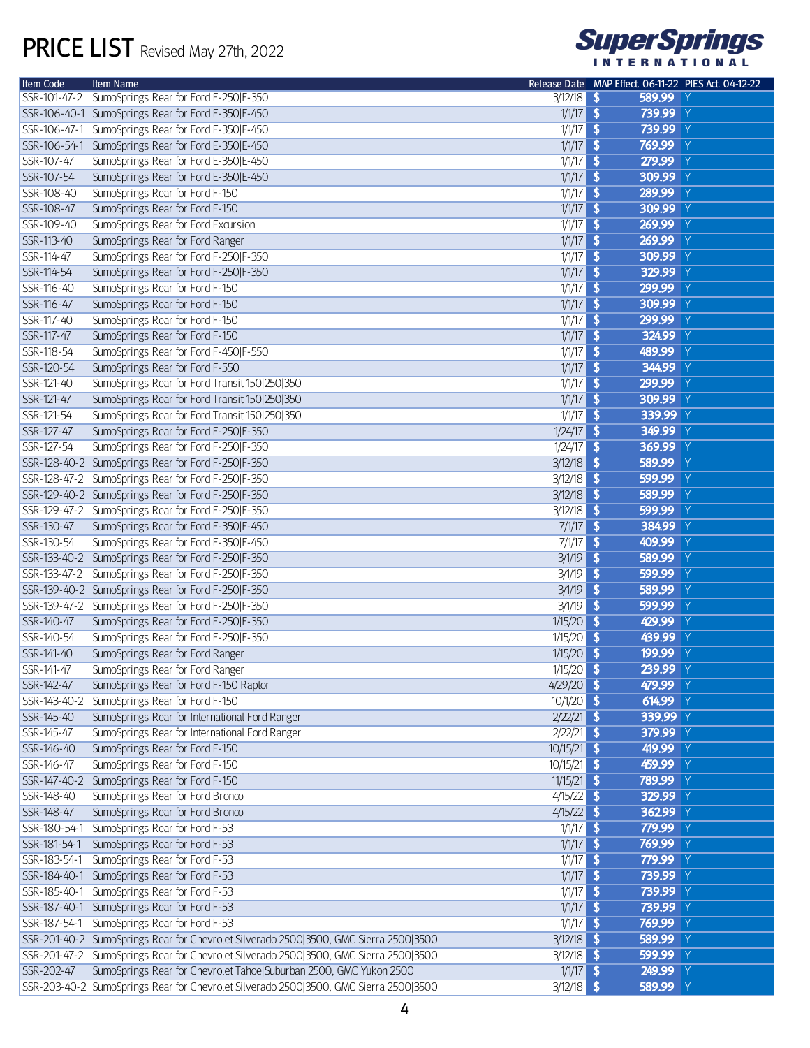

| <b>Item Code</b> | <b>Item Name</b>                                                                      |               | Release Date MAP Effect. 06-11-22 PIES Act. 04-12-22 |
|------------------|---------------------------------------------------------------------------------------|---------------|------------------------------------------------------|
| SSR-101-47-2     | SumoSprings Rear for Ford F-250 F-350                                                 | $3/12/18$ \$  | 589.99 Y                                             |
|                  | SSR-106-40-1 SumoSprings Rear for Ford E-350 E-450                                    | $1/1/17$ \$   | 739.99 Y                                             |
| SSR-106-47-1     | SumoSprings Rear for Ford E-350 E-450                                                 | $1/1/17$ \$   | 739.99 Y                                             |
| SSR-106-54-1     | SumoSprings Rear for Ford E-350 E-450                                                 | $1/1/17$ \$   | 769.99 Y                                             |
| SSR-107-47       | SumoSprings Rear for Ford E-350 E-450                                                 | $1/1/17$ \$   | 279.99 Y                                             |
| SSR-107-54       | SumoSprings Rear for Ford E-350 E-450                                                 | $1/1/17$ \$   | 309.99 Y                                             |
| SSR-108-40       | SumoSprings Rear for Ford F-150                                                       | $1/1/17$ \$   | 289.99 Y                                             |
| SSR-108-47       | SumoSprings Rear for Ford F-150                                                       | $1/1/17$ \$   | 309.99 Y                                             |
| SSR-109-40       | SumoSprings Rear for Ford Excursion                                                   | $1/1/17$ \$   | 269.99 Y                                             |
| SSR-113-40       | SumoSprings Rear for Ford Ranger                                                      | $1/1/17$ \$   | 269.99 Y                                             |
| SSR-114-47       | SumoSprings Rear for Ford F-250 F-350                                                 | $1/1/17$ \$   | 309.99 Y                                             |
| SSR-114-54       | SumoSprings Rear for Ford F-250 F-350                                                 | $1/1/17$ \$   | 329.99 Y                                             |
| SSR-116-40       | SumoSprings Rear for Ford F-150                                                       | $1/1/17$ \$   | 299.99 Y                                             |
| SSR-116-47       | SumoSprings Rear for Ford F-150                                                       | $1/1/17$ \$   | 309.99 Y                                             |
| SSR-117-40       | SumoSprings Rear for Ford F-150                                                       | $1/1/17$ \$   | 299.99<br>$\mathsf{Y}$                               |
| SSR-117-47       |                                                                                       |               |                                                      |
|                  | SumoSprings Rear for Ford F-150                                                       | $1/1/17$ \$   | 324.99 Y                                             |
| SSR-118-54       | SumoSprings Rear for Ford F-450 F-550                                                 | $1/1/17$ \$   | 489.99 Y                                             |
| SSR-120-54       | SumoSprings Rear for Ford F-550                                                       | $1/1/17$ \$   | 344.99 Y                                             |
| SSR-121-40       | SumoSprings Rear for Ford Transit 150 250 350                                         | $1/1/17$ \$   | 299.99 Y                                             |
| SSR-121-47       | SumoSprings Rear for Ford Transit 150 250 350                                         | $1/1/17$ \$   | 309.99 Y                                             |
| SSR-121-54       | SumoSprings Rear for Ford Transit 150 250 350                                         | $1/1/17$ \$   | 339.99 Y                                             |
| SSR-127-47       | SumoSprings Rear for Ford F-250 F-350                                                 | $1/24/17$ \$  | 349.99 Y                                             |
| SSR-127-54       | SumoSprings Rear for Ford F-250 F-350                                                 | $1/24/17$ \$  | 369.99 Y                                             |
|                  | SSR-128-40-2 SumoSprings Rear for Ford F-250 F-350                                    | $3/12/18$ \$  | 589.99 Y                                             |
|                  | SSR-128-47-2 SumoSprings Rear for Ford F-250 F-350                                    | $3/12/18$ \$  | 599.99<br>$\mathsf{Y}$                               |
|                  | SSR-129-40-2 SumoSprings Rear for Ford F-250 F-350                                    | $3/12/18$ \$  | 589.99<br>$\mathsf{Y}$                               |
|                  | SSR-129-47-2 SumoSprings Rear for Ford F-250 F-350                                    | $3/12/18$ \$  | 599.99<br>$\mathsf{Y}$                               |
| SSR-130-47       | SumoSprings Rear for Ford E-350 E-450                                                 | $7/1/17$ \$   | 384.99 Y                                             |
| SSR-130-54       | SumoSprings Rear for Ford E-350 E-450                                                 | $7/1/17$ \$   | 409.99<br>$\mathsf{Y}$                               |
|                  | SSR-133-40-2 SumoSprings Rear for Ford F-250 F-350                                    | $3/1/19$ \$   | 589.99<br>$\mathsf{Y}$                               |
| SSR-133-47-2     | SumoSprings Rear for Ford F-250 F-350                                                 | 3/1/19        | 599.99<br>$\overline{\mathbf{3}}$<br>$\mathsf{Y}$    |
|                  | SSR-139-40-2 SumoSprings Rear for Ford F-250 F-350                                    | $3/1/19$ \$   | 589.99<br>$\mathsf{Y}$                               |
|                  | SSR-139-47-2 SumoSprings Rear for Ford F-250 F-350                                    | $3/1/19$ \$   | 599.99<br>$\mathsf{Y}$                               |
| SSR-140-47       | SumoSprings Rear for Ford F-250 F-350                                                 | $1/15/20$ \$  | 429.99<br>$\mathsf{Y}$                               |
| SSR-140-54       | SumoSprings Rear for Ford F-250 F-350                                                 | 1/15/20       | 439.99 Y<br>$\overline{\mathbf{S}}$                  |
| SSR-141-40       | SumoSprings Rear for Ford Ranger                                                      | 1/15/20       | 199.99 Y<br>$\sqrt{2}$                               |
| SSR-141-47       |                                                                                       | $1/15/20$ \$  | 239.99 Y                                             |
|                  | SumoSprings Rear for Ford Ranger                                                      |               |                                                      |
| SSR-142-47       | SumoSprings Rear for Ford F-150 Raptor                                                | $4/29/20$ \$  | 479.99 Y                                             |
| SSR-143-40-2     | SumoSprings Rear for Ford F-150                                                       | $10/1/20$ \$  | 614.99 Y                                             |
| SSR-145-40       | SumoSprings Rear for International Ford Ranger                                        | $2/22/21$ \$  | 339.99 Y                                             |
| SSR-145-47       | SumoSprings Rear for International Ford Ranger                                        | $2/22/21$ \$  | 379.99 Y                                             |
| SSR-146-40       | SumoSprings Rear for Ford F-150                                                       | $10/15/21$ \$ | 419.99 Y                                             |
| SSR-146-47       | SumoSprings Rear for Ford F-150                                                       | $10/15/21$ \$ | 459.99 Y                                             |
|                  | SSR-147-40-2 SumoSprings Rear for Ford F-150                                          | $11/15/21$ \$ | 789.99 Y                                             |
| SSR-148-40       | SumoSprings Rear for Ford Bronco                                                      | $4/15/22$ \$  | 329.99 Y                                             |
| SSR-148-47       | SumoSprings Rear for Ford Bronco                                                      | $4/15/22$ \$  | 362.99 Y                                             |
|                  | SSR-180-54-1 SumoSprings Rear for Ford F-53                                           | $1/1/17$ \$   | 779.99 Y                                             |
| SSR-181-54-1     | SumoSprings Rear for Ford F-53                                                        | $1/1/17$ \$   | 769.99 Y                                             |
|                  | SSR-183-54-1 SumoSprings Rear for Ford F-53                                           | $1/1/17$ \$   | 779.99 Y                                             |
|                  | SSR-184-40-1 SumoSprings Rear for Ford F-53                                           | $1/1/17$ \$   | 739.99 Y                                             |
|                  | SSR-185-40-1 SumoSprings Rear for Ford F-53                                           | $1/1/17$ \$   | 739.99 Y                                             |
|                  | SSR-187-40-1 SumoSprings Rear for Ford F-53                                           | $1/1/17$ \$   | 739.99 Y                                             |
|                  | SSR-187-54-1 SumoSprings Rear for Ford F-53                                           | $1/1/17$ \$   | 769.99 Y                                             |
|                  | SSR-201-40-2 SumoSprings Rear for Chevrolet Silverado 2500 3500, GMC Sierra 2500 3500 | $3/12/18$ \$  | 589.99 Y                                             |
|                  | SSR-201-47-2 SumoSprings Rear for Chevrolet Silverado 2500 3500, GMC Sierra 2500 3500 | $3/12/18$ \$  | 599.99 Y                                             |
| SSR-202-47       | SumoSprings Rear for Chevrolet Tahoe Suburban 2500, GMC Yukon 2500                    | $1/1/17$ \$   | 249.99 Y                                             |
|                  | SSR-203-40-2 SumoSprings Rear for Chevrolet Silverado 2500 3500, GMC Sierra 2500 3500 | $3/12/18$ \$  | 589.99 Y                                             |
|                  |                                                                                       |               |                                                      |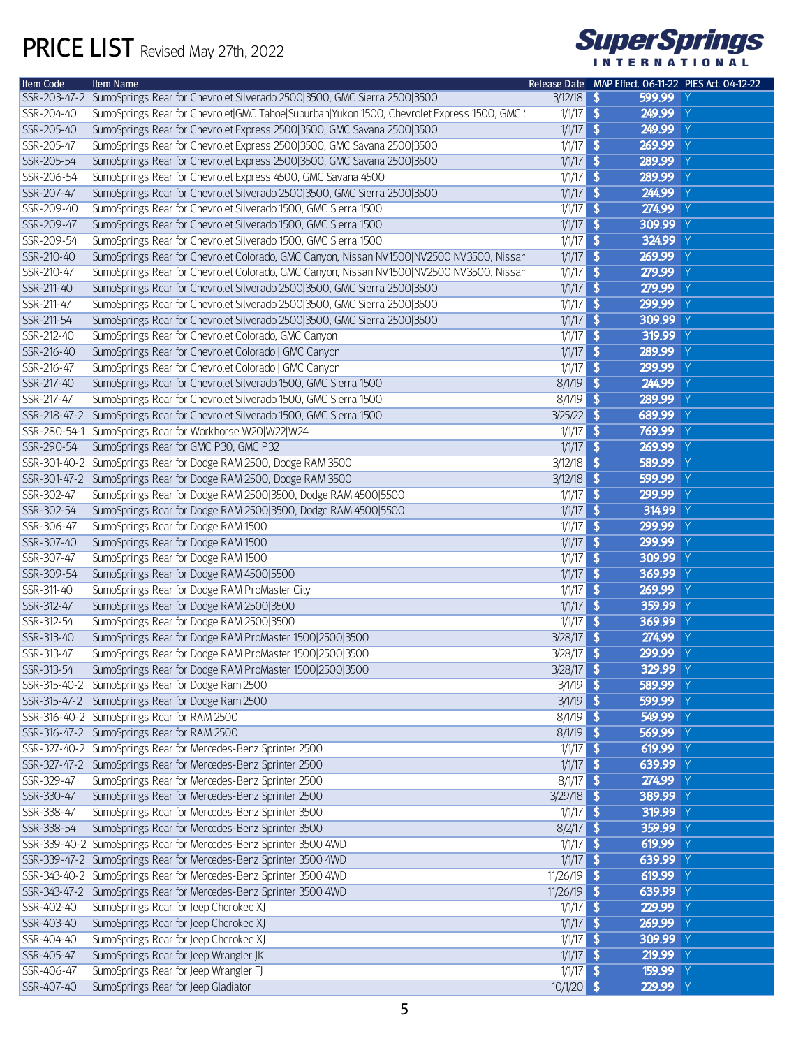## PRICE LIST Revised May 27th, 2022



| Item Code    | Item Name                                                                                   |                     | Release Date MAP Effect. 06-11-22 PIES Act. 04-12-22 |  |
|--------------|---------------------------------------------------------------------------------------------|---------------------|------------------------------------------------------|--|
|              | SSR-203-47-2 SumoSprings Rear for Chevrolet Silverado 2500 3500, GMC Sierra 2500 3500       | $3/12/18$ <b>\$</b> | 599.99 Y                                             |  |
| SSR-204-40   | SumoSprings Rear for Chevrolet GMC Tahoe Suburban Yukon 1500, Chevrolet Express 1500, GMC ! | $1/1/17$ \$         | 249.99 Y                                             |  |
| SSR-205-40   | SumoSprings Rear for Chevrolet Express 2500 3500, GMC Savana 2500 3500                      | $1/1/17$ \$         | 249.99 Y                                             |  |
| SSR-205-47   | SumoSprings Rear for Chevrolet Express 2500 3500, GMC Savana 2500 3500                      | $1/1/17$ \$         | 269.99 Y                                             |  |
| SSR-205-54   | SumoSprings Rear for Chevrolet Express 2500 3500, GMC Savana 2500 3500                      | $1/1/17$ \$         | 289.99 Y                                             |  |
| SSR-206-54   | SumoSprings Rear for Chevrolet Express 4500, GMC Savana 4500                                | $1/1/17$ \$         | 289.99 Y                                             |  |
| SSR-207-47   | SumoSprings Rear for Chevrolet Silverado 2500 3500, GMC Sierra 2500 3500                    | $1/1/17$ \$         | 244.99 Y                                             |  |
| SSR-209-40   | SumoSprings Rear for Chevrolet Silverado 1500, GMC Sierra 1500                              | $1/1/17$ \$         | 274.99 Y                                             |  |
| SSR-209-47   | SumoSprings Rear for Chevrolet Silverado 1500, GMC Sierra 1500                              | $1/1/17$ \$         | 309.99 Y                                             |  |
|              | SumoSprings Rear for Chevrolet Silverado 1500, GMC Sierra 1500                              |                     | 324.99 Y                                             |  |
| SSR-209-54   |                                                                                             | $1/1/17$ \$         |                                                      |  |
| SSR-210-40   | SumoSprings Rear for Chevrolet Colorado, GMC Canyon, Nissan NV1500 NV2500 NV3500, Nissan    | $1/1/17$ \$         | 269.99 Y                                             |  |
| SSR-210-47   | SumoSprings Rear for Chevrolet Colorado, GMC Canyon, Nissan NV1500 NV2500 NV3500, Nissan    | $1/1/17$ \$         | 279.99 Y                                             |  |
| SSR-211-40   | SumoSprings Rear for Chevrolet Silverado 2500 3500, GMC Sierra 2500 3500                    | $1/1/17$ \$         | 279.99 Y                                             |  |
| SSR-211-47   | SumoSprings Rear for Chevrolet Silverado 2500 3500, GMC Sierra 2500 3500                    | $1/1/17$ \$         | 299.99 Y                                             |  |
| SSR-211-54   | SumoSprings Rear for Chevrolet Silverado 2500 3500, GMC Sierra 2500 3500                    | $1/1/17$ \$         | 309.99 Y                                             |  |
| SSR-212-40   | SumoSprings Rear for Chevrolet Colorado, GMC Canyon                                         | $1/1/17$ \$         | 319.99 Y                                             |  |
| SSR-216-40   | SumoSprings Rear for Chevrolet Colorado   GMC Canyon                                        | $1/1/17$ \$         | 289.99 Y                                             |  |
| SSR-216-47   | SumoSprings Rear for Chevrolet Colorado   GMC Canyon                                        | $1/1/17$ \$         | 299.99 Y                                             |  |
| SSR-217-40   | SumoSprings Rear for Chevrolet Silverado 1500, GMC Sierra 1500                              | $8/1/19$ \$         | 244.99 Y                                             |  |
| SSR-217-47   | SumoSprings Rear for Chevrolet Silverado 1500, GMC Sierra 1500                              | $8/1/19$ \$         | 289.99 Y                                             |  |
|              | SSR-218-47-2 SumoSprings Rear for Chevrolet Silverado 1500, GMC Sierra 1500                 | $3/25/22$ \$        | 689.99 Y                                             |  |
| SSR-280-54-1 | SumoSprings Rear for Workhorse W20 W22 W24                                                  | $1/1/17$ \$         | 769.99 Y                                             |  |
| SSR-290-54   | SumoSprings Rear for GMC P30, GMC P32                                                       | $1/1/17$ \$         | 269.99 Y                                             |  |
|              |                                                                                             | $3/12/18$ \$        | 589.99 Y                                             |  |
|              | SSR-301-40-2 SumoSprings Rear for Dodge RAM 2500, Dodge RAM 3500                            |                     |                                                      |  |
|              | SSR-301-47-2 SumoSprings Rear for Dodge RAM 2500, Dodge RAM 3500                            | $3/12/18$ \$        | 599.99 Y                                             |  |
| SSR-302-47   | SumoSprings Rear for Dodge RAM 2500 3500, Dodge RAM 4500 5500                               | $1/1/17$ \$         | 299.99 Y                                             |  |
| SSR-302-54   | SumoSprings Rear for Dodge RAM 2500 3500, Dodge RAM 4500 5500                               | $1/1/17$ \$         | 314.99 Y                                             |  |
| SSR-306-47   | SumoSprings Rear for Dodge RAM 1500                                                         | $1/1/17$ \$         | 299.99 Y                                             |  |
| SSR-307-40   | SumoSprings Rear for Dodge RAM 1500                                                         | $1/1/17$ \$         | 299.99 Y                                             |  |
| SSR-307-47   | SumoSprings Rear for Dodge RAM 1500                                                         | $1/1/17$ \$         | 309.99 Y                                             |  |
| SSR-309-54   | SumoSprings Rear for Dodge RAM 4500 5500                                                    | $1/1/17$ \$         | 369.99 Y                                             |  |
| SSR-311-40   | SumoSprings Rear for Dodge RAM ProMaster City                                               | $1/1/17$ \$         | 269.99 Y                                             |  |
| SSR-312-47   | SumoSprings Rear for Dodge RAM 2500 3500                                                    | $1/1/17$ \$         | 359.99 Y                                             |  |
| SSR-312-54   | SumoSprings Rear for Dodge RAM 2500 3500                                                    | $1/1/17$ \$         | 369.99 Y                                             |  |
| SSR-313-40   | SumoSprings Rear for Dodge RAM ProMaster 1500 2500 3500                                     | $3/28/17$ \$        | 274.99 Y                                             |  |
| SSR-313-47   | SumoSprings Rear for Dodge RAM ProMaster 1500 2500 3500                                     | $3/28/17$ \$        | 299.99 Y                                             |  |
|              | SSR-313-54 SumoSprings Rear for Dodge RAM ProMaster 1500 2500 3500                          | $3/28/17$ \$        | 329.99 Y                                             |  |
|              | SSR-315-40-2 SumoSprings Rear for Dodge Ram 2500                                            | $3/1/19$ \$         | 589.99 Y                                             |  |
|              |                                                                                             |                     |                                                      |  |
|              | SSR-315-47-2 SumoSprings Rear for Dodge Ram 2500                                            | $3/1/19$ \$         | 599.99 Y                                             |  |
|              | SSR-316-40-2 SumoSprings Rear for RAM 2500                                                  | $8/1/19$ \$         | 549.99 Y                                             |  |
|              | SSR-316-47-2 SumoSprings Rear for RAM 2500                                                  | $8/1/19$ \$         | 569.99 Y                                             |  |
|              | SSR-327-40-2 SumoSprings Rear for Mercedes-Benz Sprinter 2500                               | $1/1/17$ \$         | 619.99 Y                                             |  |
|              | SSR-327-47-2 SumoSprings Rear for Mercedes-Benz Sprinter 2500                               | $1/1/17$ \$         | 639.99 Y                                             |  |
| SSR-329-47   | SumoSprings Rear for Mercedes-Benz Sprinter 2500                                            | $8/1/17$ \$         | 274.99 Y                                             |  |
| SSR-330-47   | SumoSprings Rear for Mercedes-Benz Sprinter 2500                                            | $3/29/18$ \$        | 389.99 Y                                             |  |
| SSR-338-47   | SumoSprings Rear for Mercedes-Benz Sprinter 3500                                            | $1/1/17$ \$         | 319.99 Y                                             |  |
| SSR-338-54   | SumoSprings Rear for Mercedes-Benz Sprinter 3500                                            | $8/2/17$ \$         | 359.99 Y                                             |  |
|              | SSR-339-40-2 SumoSprings Rear for Mercedes-Benz Sprinter 3500 4WD                           | $1/1/17$ \$         | 619.99 Y                                             |  |
|              | SSR-339-47-2 SumoSprings Rear for Mercedes-Benz Sprinter 3500 4WD                           | $1/1/17$ \$         | 639.99 Y                                             |  |
|              | SSR-343-40-2 SumoSprings Rear for Mercedes-Benz Sprinter 3500 4WD                           | $11/26/19$ \$       | 619.99 $Y$                                           |  |
|              | SSR-343-47-2 SumoSprings Rear for Mercedes-Benz Sprinter 3500 4WD                           | $11/26/19$ \$       | 639.99 Y                                             |  |
| SSR-402-40   | SumoSprings Rear for Jeep Cherokee XJ                                                       | $1/1/17$ \$         | 229.99 Y                                             |  |
| SSR-403-40   | SumoSprings Rear for Jeep Cherokee XJ                                                       | $1/1/17$ \$         | 269.99 Y                                             |  |
| SSR-404-40   | SumoSprings Rear for Jeep Cherokee XJ                                                       | $1/1/17$ \$         | 309.99 Y                                             |  |
|              |                                                                                             |                     |                                                      |  |
| SSR-405-47   | SumoSprings Rear for Jeep Wrangler JK                                                       | $1/1/17$ \$         | 219.99 Y                                             |  |
| SSR-406-47   | SumoSprings Rear for Jeep Wrangler TJ                                                       | $1/1/17$ \$         | 159.99 Y                                             |  |
| SSR-407-40   | SumoSprings Rear for Jeep Gladiator                                                         | $10/1/20$ \$        | 229.99 Y                                             |  |